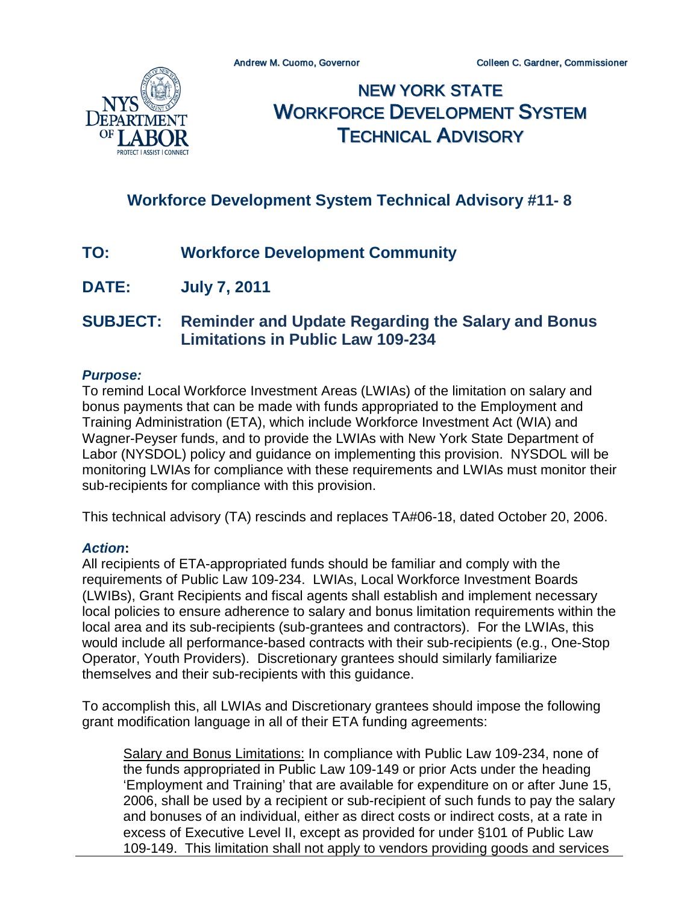

NEW YORK STATE WORKFORCE DEVELOPMENT SYSTEM TECHNICAL ADVISORY

# **Workforce Development System Technical Advisory #11- 8**

- **TO: Workforce Development Community**
- **DATE: July 7, 2011**

# **SUBJECT: Reminder and Update Regarding the Salary and Bonus Limitations in Public Law 109-234**

### *Purpose:*

To remind Local Workforce Investment Areas (LWIAs) of the limitation on salary and bonus payments that can be made with funds appropriated to the Employment and Training Administration (ETA), which include Workforce Investment Act (WIA) and Wagner-Peyser funds, and to provide the LWIAs with New York State Department of Labor (NYSDOL) policy and guidance on implementing this provision. NYSDOL will be monitoring LWIAs for compliance with these requirements and LWIAs must monitor their sub-recipients for compliance with this provision.

This technical advisory (TA) rescinds and replaces TA#06-18, dated October 20, 2006.

### *Action***:**

All recipients of ETA-appropriated funds should be familiar and comply with the requirements of Public Law 109-234. LWIAs, Local Workforce Investment Boards (LWIBs), Grant Recipients and fiscal agents shall establish and implement necessary local policies to ensure adherence to salary and bonus limitation requirements within the local area and its sub-recipients (sub-grantees and contractors). For the LWIAs, this would include all performance-based contracts with their sub-recipients (e.g., One-Stop Operator, Youth Providers). Discretionary grantees should similarly familiarize themselves and their sub-recipients with this guidance.

To accomplish this, all LWIAs and Discretionary grantees should impose the following grant modification language in all of their ETA funding agreements:

Salary and Bonus Limitations: In compliance with Public Law 109-234, none of the funds appropriated in Public Law 109-149 or prior Acts under the heading 'Employment and Training' that are available for expenditure on or after June 15, 2006, shall be used by a recipient or sub-recipient of such funds to pay the salary and bonuses of an individual, either as direct costs or indirect costs, at a rate in excess of Executive Level II, except as provided for under §101 of Public Law 109-149. This limitation shall not apply to vendors providing goods and services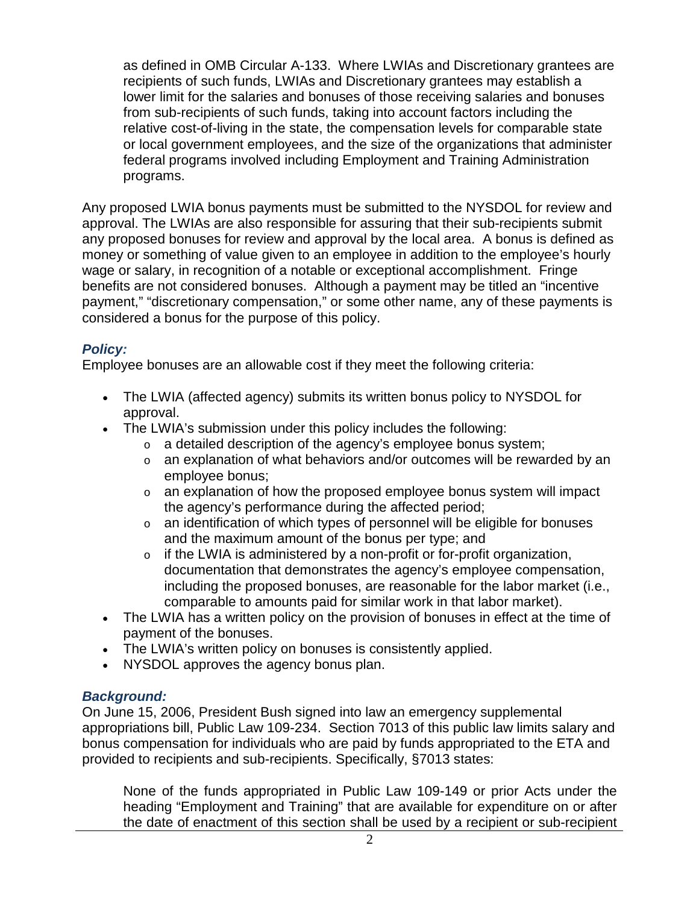as defined in OMB Circular A-133. Where LWIAs and Discretionary grantees are recipients of such funds, LWIAs and Discretionary grantees may establish a lower limit for the salaries and bonuses of those receiving salaries and bonuses from sub-recipients of such funds, taking into account factors including the relative cost-of-living in the state, the compensation levels for comparable state or local government employees, and the size of the organizations that administer federal programs involved including Employment and Training Administration programs.

Any proposed LWIA bonus payments must be submitted to the NYSDOL for review and approval. The LWIAs are also responsible for assuring that their sub-recipients submit any proposed bonuses for review and approval by the local area. A bonus is defined as money or something of value given to an employee in addition to the employee's hourly wage or salary, in recognition of a notable or exceptional accomplishment. Fringe benefits are not considered bonuses. Although a payment may be titled an "incentive payment," "discretionary compensation," or some other name, any of these payments is considered a bonus for the purpose of this policy.

## *Policy:*

Employee bonuses are an allowable cost if they meet the following criteria:

- The LWIA (affected agency) submits its written bonus policy to NYSDOL for approval.
- The LWIA's submission under this policy includes the following:
	- $\circ$  a detailed description of the agency's employee bonus system;
	- o an explanation of what behaviors and/or outcomes will be rewarded by an employee bonus;
	- $\circ$  an explanation of how the proposed employee bonus system will impact the agency's performance during the affected period;
	- $\circ$  an identification of which types of personnel will be eligible for bonuses and the maximum amount of the bonus per type; and
	- $\circ$  if the LWIA is administered by a non-profit or for-profit organization, documentation that demonstrates the agency's employee compensation, including the proposed bonuses, are reasonable for the labor market (i.e., comparable to amounts paid for similar work in that labor market).
- The LWIA has a written policy on the provision of bonuses in effect at the time of payment of the bonuses.
- The LWIA's written policy on bonuses is consistently applied.
- NYSDOL approves the agency bonus plan.

### *Background:*

On June 15, 2006, President Bush signed into law an emergency supplemental appropriations bill, Public Law 109-234. Section 7013 of this public law limits salary and bonus compensation for individuals who are paid by funds appropriated to the ETA and provided to recipients and sub-recipients. Specifically, §7013 states:

None of the funds appropriated in Public Law 109-149 or prior Acts under the heading "Employment and Training" that are available for expenditure on or after the date of enactment of this section shall be used by a recipient or sub-recipient